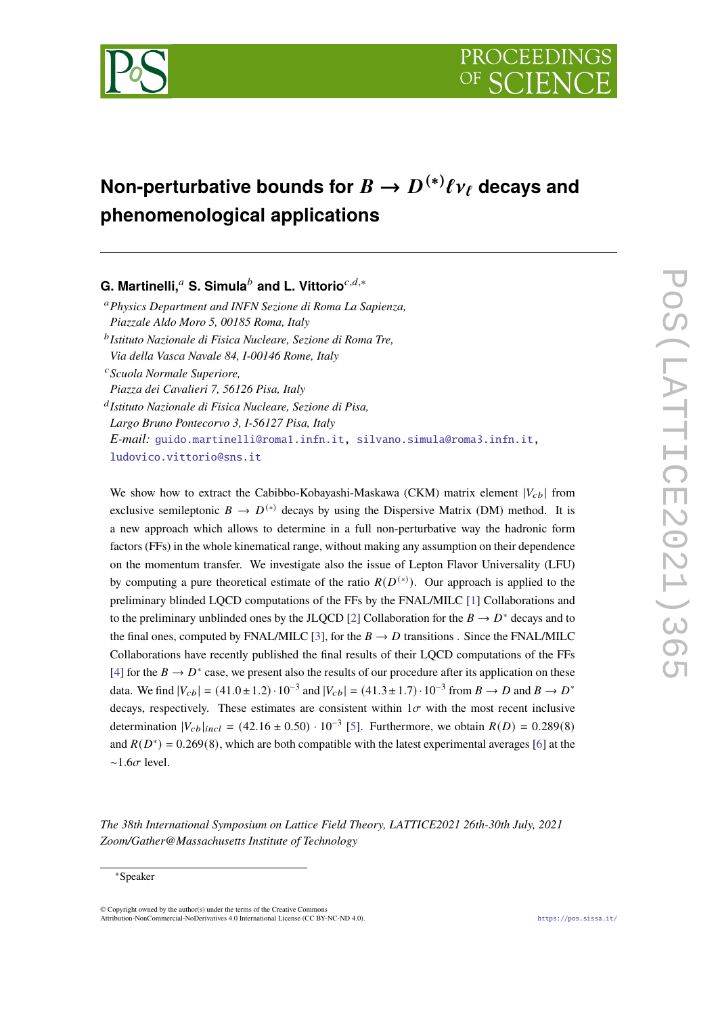

# Non-perturbative bounds for  $B\to D^{(*)}\ell\nu_{\ell}$  decays and **phenomenological applications**

**G. Martinelli,<sup>a</sup> S. Simula<sup>***b***</sup> and L. Vittorio<sup>c,d,∗</sup>** 

*Physics Department and INFN Sezione di Roma La Sapienza, Piazzale Aldo Moro 5, 00185 Roma, Italy Istituto Nazionale di Fisica Nucleare, Sezione di Roma Tre,*

*Via della Vasca Navale 84, I-00146 Rome, Italy*

*Scuola Normale Superiore,*

*Piazza dei Cavalieri 7, 56126 Pisa, Italy*

*Istituto Nazionale di Fisica Nucleare, Sezione di Pisa,*

*Largo Bruno Pontecorvo 3, I-56127 Pisa, Italy E-mail:* [guido.martinelli@roma1.infn.it,](mailto:guido.martinelli@roma1.infn.it) [silvano.simula@roma3.infn.it,](mailto:silvano.simula@roma3.infn.it) [ludovico.vittorio@sns.it](mailto:ludovico.vittorio@sns.it)

We show how to extract the Cabibbo-Kobayashi-Maskawa (CKM) matrix element  $|V_{cb}|$  from exclusive semileptonic  $B \to D^{(*)}$  decays by using the Dispersive Matrix (DM) method. It is a new approach which allows to determine in a full non-perturbative way the hadronic form factors (FFs) in the whole kinematical range, without making any assumption on their dependence on the momentum transfer. We investigate also the issue of Lepton Flavor Universality (LFU) by computing a pure theoretical estimate of the ratio  $R(D^{(*)})$ . Our approach is applied to the preliminary blinded LQCD computations of the FFs by the FNAL/MILC [\[1\]](#page-7-0) Collaborations and to the preliminary unblinded ones by the JLQCD [\[2\]](#page-7-1) Collaboration for the  $B \to D^*$  decays and to the final ones, computed by FNAL/MILC [\[3\]](#page-7-2), for the  $B \to D$  transitions . Since the FNAL/MILC Collaborations have recently published the final results of their LQCD computations of the FFs [\[4\]](#page-7-3) for the  $B \to D^*$  case, we present also the results of our procedure after its application on these data. We find  $|V_{cb}| = (41.0 \pm 1.2) \cdot 10^{-3}$  and  $|V_{cb}| = (41.3 \pm 1.7) \cdot 10^{-3}$  from  $B \to D$  and  $B \to D^*$ decays, respectively. These estimates are consistent within  $1\sigma$  with the most recent inclusive determination  $|V_{cb}|_{incl} = (42.16 \pm 0.50) \cdot 10^{-3}$  [\[5\]](#page-7-4). Furthermore, we obtain  $R(D) = 0.289(8)$ and  $R(D^*) = 0.269(8)$ , which are both compatible with the latest experimental averages [\[6\]](#page-8-0) at the  $~\sim 1.6 \sigma$  level.

*The 38th International Symposium on Lattice Field Theory, LATTICE2021 26th-30th July, 2021 Zoom/Gather@Massachusetts Institute of Technology*

<sup>∗</sup>Speaker

 $\odot$  Copyright owned by the author(s) under the terms of the Creative Common Attribution-NonCommercial-NoDerivatives 4.0 International License (CC BY-NC-ND 4.0). <https://pos.sissa.it/>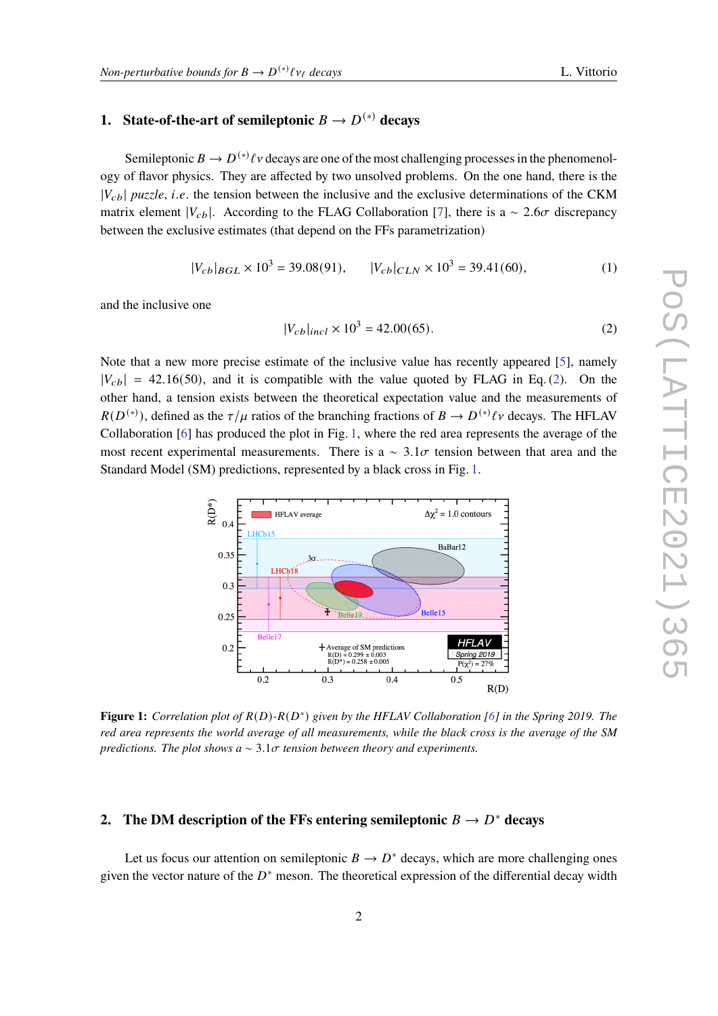## **1.** State-of-the-art of semileptonic  $B \to D^{(*)}$  decays

Semileptonic  $B \to D^{(*)}\ell\nu$  decays are one of the most challenging processes in the phenomenology of flavor physics. They are affected by two unsolved problems. On the one hand, there is the  $|V_{cb}|$  puzzle, *i.e.* the tension between the inclusive and the exclusive determinations of the CKM matrix element  $|V_{cb}|$ . According to the FLAG Collaboration [\[7\]](#page-8-1), there is a ~ 2.6 $\sigma$  discrepancy between the exclusive estimates (that depend on the FFs parametrization)

$$
|V_{cb}|_{BGL} \times 10^3 = 39.08(91), \qquad |V_{cb}|_{CLN} \times 10^3 = 39.41(60), \tag{1}
$$

and the inclusive one

<span id="page-1-0"></span>
$$
|V_{cb}|_{incl} \times 10^3 = 42.00(65).
$$
 (2)

Note that a new more precise estimate of the inclusive value has recently appeared [\[5\]](#page-7-4), namely  $|V_{cb}| = 42.16(50)$ , and it is compatible with the value quoted by FLAG in Eq. [\(2\)](#page-1-0). On the other hand, a tension exists between the theoretical expectation value and the measurements of  $R(D^{(*)})$ , defined as the  $\tau/\mu$  ratios of the branching fractions of  $B \to D^{(*)}\ell\nu$  decays. The HFLAV Collaboration [\[6\]](#page-8-0) has produced the plot in Fig. [1,](#page-1-1) where the red area represents the average of the most recent experimental measurements. There is a  $\sim 3.1\sigma$  tension between that area and the Standard Model (SM) predictions, represented by a black cross in Fig. [1.](#page-1-1)

<span id="page-1-1"></span>

**Figure 1:** *Correlation plot of*  $R(D)$ - $R(D^*)$  given by the HFLAV Collaboration [\[6\]](#page-8-0) in the Spring 2019. The *red area represents the world average of all measurements, while the black cross is the average of the SM predictions. The plot shows a*  $\sim$  3.1 $\sigma$  tension between theory and experiments.

## **2.** The DM description of the FFs entering semileptonic  $B \to D^*$  decays

Let us focus our attention on semileptonic  $B \to D^*$  decays, which are more challenging ones given the vector nature of the  $D^*$  meson. The theoretical expression of the differential decay width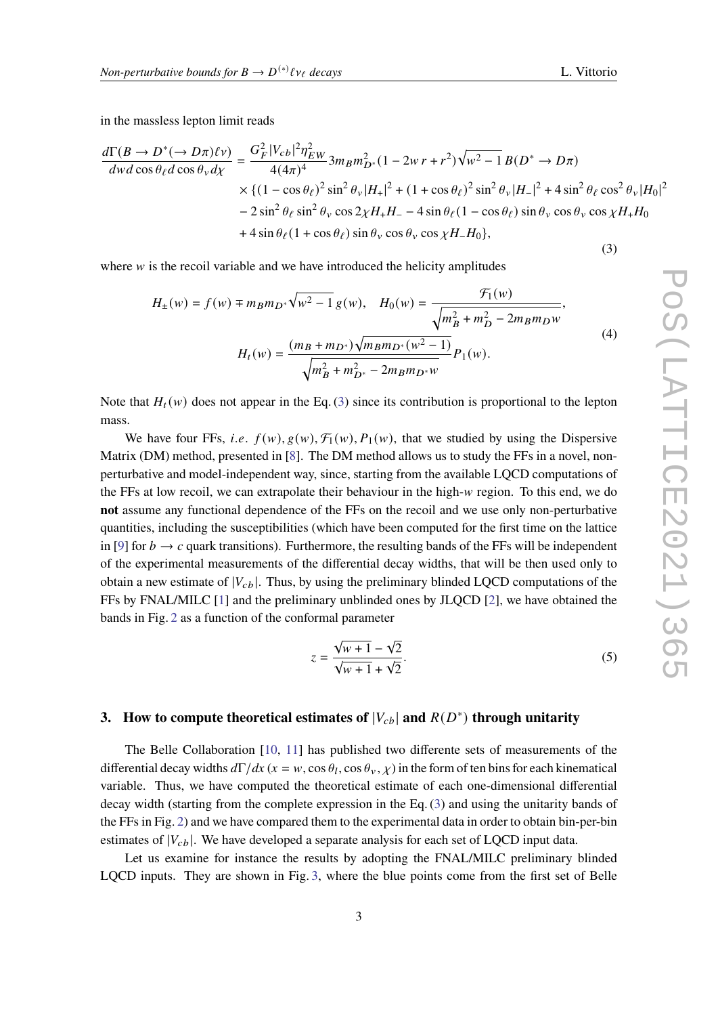in the massless lepton limit reads

<span id="page-2-0"></span>
$$
\frac{d\Gamma(B \to D^*(\to D\pi)\ell\nu)}{dw d\cos\theta_\ell d\cos\theta_\nu d\chi} = \frac{G_F^2 |V_{cb}|^2 \eta_{EW}^2}{4(4\pi)^4} 3m_B m_{D^*}^2 (1 - 2w r + r^2) \sqrt{w^2 - 1} B(D^* \to D\pi)
$$
  
×  $\{(1 - \cos\theta_\ell)^2 \sin^2\theta_\nu |H_+|^2 + (1 + \cos\theta_\ell)^2 \sin^2\theta_\nu |H_-|^2 + 4 \sin^2\theta_\ell \cos^2\theta_\nu |H_0|^2$   
–  $2 \sin^2\theta_\ell \sin^2\theta_\nu \cos 2\chi H_+ H_- - 4 \sin\theta_\ell (1 - \cos\theta_\ell) \sin\theta_\nu \cos\theta_\nu \cos\chi H_+ H_0+  $4 \sin\theta_\ell (1 + \cos\theta_\ell) \sin\theta_\nu \cos\theta_\nu \cos\chi H_- H_0\}$ , (3)$ 

where  $w$  is the recoil variable and we have introduced the helicity amplitudes

$$
H_{\pm}(w) = f(w) \mp m_B m_{D^*} \sqrt{w^2 - 1} g(w), \quad H_0(w) = \frac{\mathcal{F}_1(w)}{\sqrt{m_B^2 + m_D^2 - 2m_B m_D w}},
$$
  

$$
H_t(w) = \frac{(m_B + m_{D^*}) \sqrt{m_B m_{D^*}(w^2 - 1)}}{\sqrt{m_B^2 + m_{D^*}^2 - 2m_B m_{D^*} w}} P_1(w).
$$
 (4)

Note that  $H_t(w)$  does not appear in the Eq. [\(3\)](#page-2-0) since its contribution is proportional to the lepton mass.

We have four FFs, *i.e.*  $f(w)$ ,  $g(w)$ ,  $\mathcal{F}_1(w)$ ,  $P_1(w)$ , that we studied by using the Dispersive Matrix (DM) method, presented in [\[8\]](#page-8-2). The DM method allows us to study the FFs in a novel, nonperturbative and model-independent way, since, starting from the available LQCD computations of the FFs at low recoil, we can extrapolate their behaviour in the high- $w$  region. To this end, we do **not** assume any functional dependence of the FFs on the recoil and we use only non-perturbative quantities, including the susceptibilities (which have been computed for the first time on the lattice in [\[9\]](#page-8-3) for  $b \to c$  quark transitions). Furthermore, the resulting bands of the FFs will be independent of the experimental measurements of the differential decay widths, that will be then used only to obtain a new estimate of  $|V_{cb}|$ . Thus, by using the preliminary blinded LQCD computations of the FFs by FNAL/MILC [\[1\]](#page-7-0) and the preliminary unblinded ones by JLQCD [\[2\]](#page-7-1), we have obtained the bands in Fig. [2](#page-3-0) as a function of the conformal parameter

$$
z = \frac{\sqrt{w+1} - \sqrt{2}}{\sqrt{w+1} + \sqrt{2}}.
$$
 (5)

## **3.** How to compute theoretical estimates of  $|V_{cb}|$  and  $R(D^*)$  through unitarity

The Belle Collaboration [\[10,](#page-8-4) [11\]](#page-8-5) has published two differente sets of measurements of the differential decay widths  $d\Gamma/dx$  ( $x = w$ , cos  $\theta_l$ , cos  $\theta_v$ ,  $\chi$ ) in the form of ten bins for each kinematical variable. Thus, we have computed the theoretical estimate of each one-dimensional differential decay width (starting from the complete expression in the Eq. [\(3\)](#page-2-0) and using the unitarity bands of the FFs in Fig. [2\)](#page-3-0) and we have compared them to the experimental data in order to obtain bin-per-bin estimates of  $|V_{cb}|$ . We have developed a separate analysis for each set of LQCD input data.

Let us examine for instance the results by adopting the FNAL/MILC preliminary blinded LQCD inputs. They are shown in Fig. [3,](#page-4-0) where the blue points come from the first set of Belle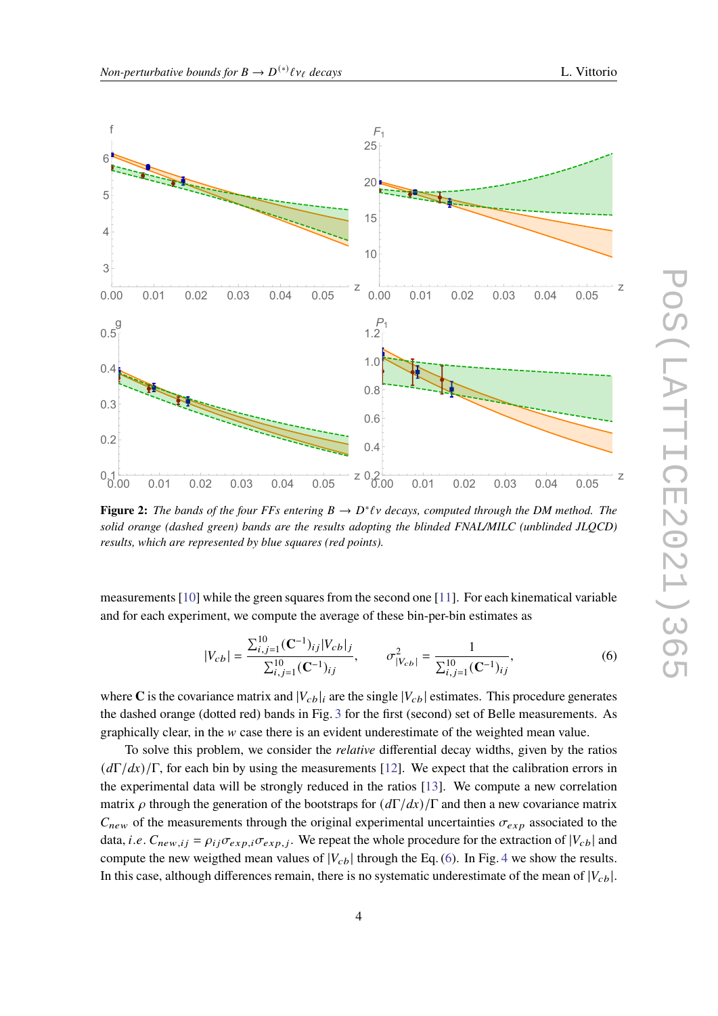<span id="page-3-0"></span>

**Figure 2:** The bands of the four FFs entering  $B \to D^* \ell \nu$  decays, computed through the DM method. The *solid orange (dashed green) bands are the results adopting the blinded FNAL/MILC (unblinded JLQCD) results, which are represented by blue squares (red points).*

measurements [\[10\]](#page-8-4) while the green squares from the second one [\[11\]](#page-8-5). For each kinematical variable and for each experiment, we compute the average of these bin-per-bin estimates as

<span id="page-3-1"></span>
$$
|V_{cb}| = \frac{\sum_{i,j=1}^{10} (\mathbf{C}^{-1})_{ij} |V_{cb}|_j}{\sum_{i,j=1}^{10} (\mathbf{C}^{-1})_{ij}}, \qquad \sigma_{|V_{cb}|}^2 = \frac{1}{\sum_{i,j=1}^{10} (\mathbf{C}^{-1})_{ij}},
$$
(6)

where C is the covariance matrix and  $|V_{cb}|_i$  are the single  $|V_{cb}|$  estimates. This procedure generates the dashed orange (dotted red) bands in Fig. [3](#page-4-0) for the first (second) set of Belle measurements. As graphically clear, in the  $w$  case there is an evident underestimate of the weighted mean value.

To solve this problem, we consider the *relative* differential decay widths, given by the ratios  $(d\Gamma/dx)/\Gamma$ , for each bin by using the measurements [\[12\]](#page-8-6). We expect that the calibration errors in the experimental data will be strongly reduced in the ratios [\[13\]](#page-8-7). We compute a new correlation matrix  $\rho$  through the generation of the bootstraps for  $(d\Gamma/dx)/\Gamma$  and then a new covariance matrix  $C_{new}$  of the measurements through the original experimental uncertainties  $\sigma_{exp}$  associated to the data, *i.e.*  $C_{new,ij} = \rho_{ij} \sigma_{exp,i} \sigma_{exp,j}$ . We repeat the whole procedure for the extraction of  $|V_{cb}|$  and compute the new weigthed mean values of  $|V_{cb}|$  through the Eq. [\(6\)](#page-3-1). In Fig. [4](#page-4-1) we show the results. In this case, although differences remain, there is no systematic underestimate of the mean of  $|V_{cb}|$ .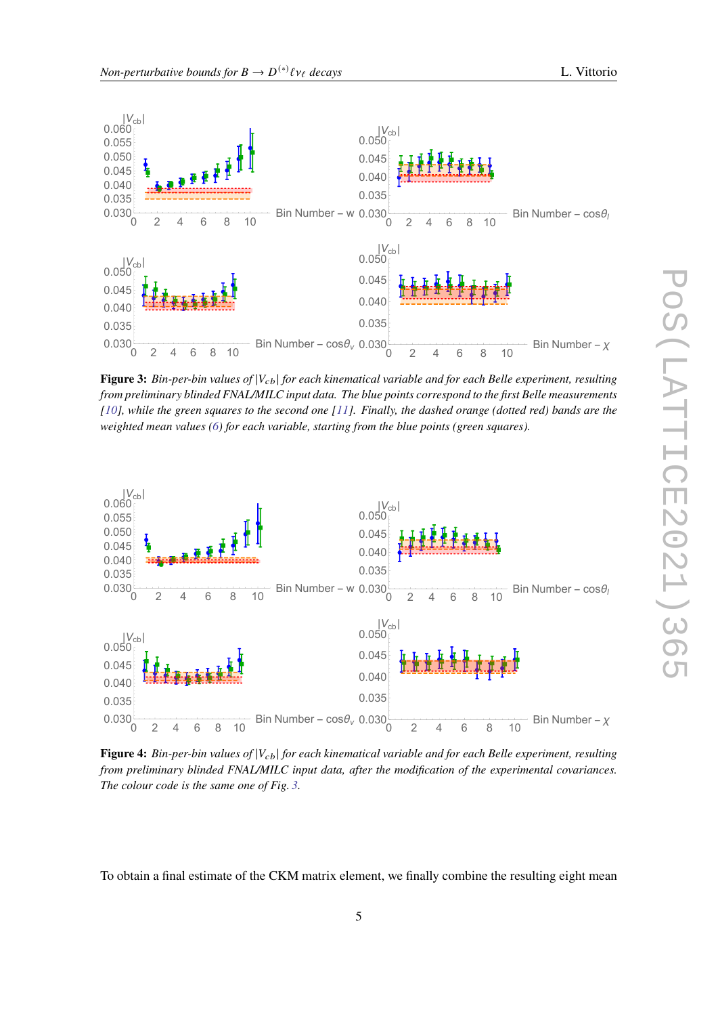<span id="page-4-0"></span>

**Figure 3:** *Bin-per-bin values of*  $|V_{cb}|$  *for each kinematical variable and for each Belle experiment, resulting from preliminary blinded FNAL/MILC input data. The blue points correspond to the first Belle measurements [\[10\]](#page-8-4), while the green squares to the second one [\[11\]](#page-8-5). Finally, the dashed orange (dotted red) bands are the weighted mean values [\(6\)](#page-3-1) for each variable, starting from the blue points (green squares).*

<span id="page-4-1"></span>

**Figure 4:** *Bin-per-bin values of* | | *for each kinematical variable and for each Belle experiment, resulting from preliminary blinded FNAL/MILC input data, after the modification of the experimental covariances. The colour code is the same one of Fig. [3.](#page-4-0)*

To obtain a final estimate of the CKM matrix element, we finally combine the resulting eight mean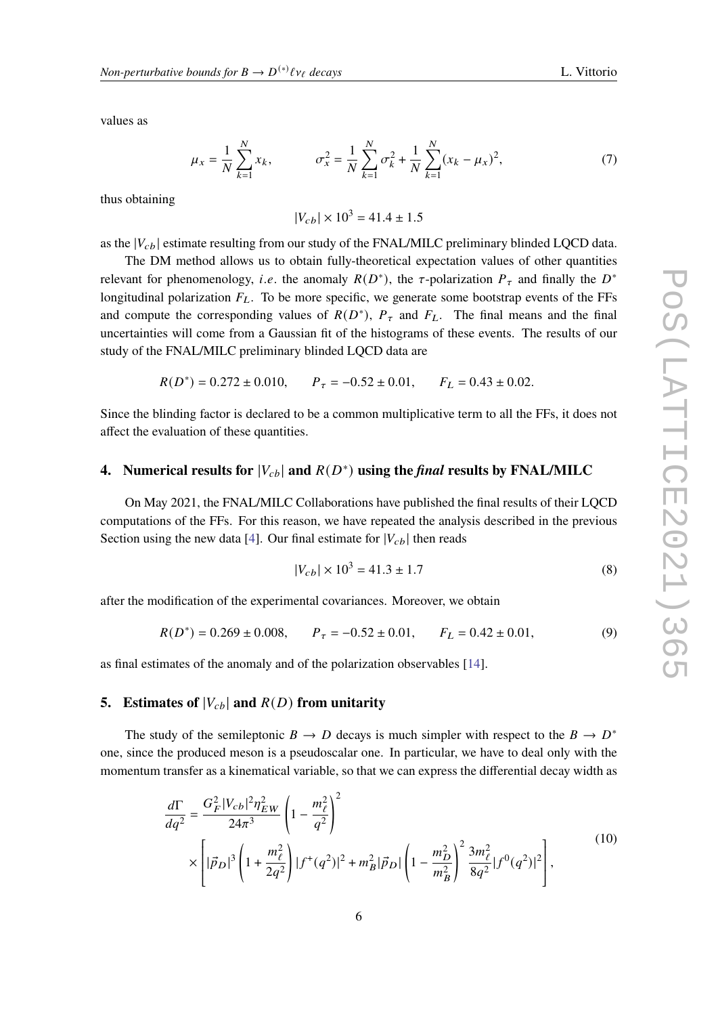values as

$$
\mu_x = \frac{1}{N} \sum_{k=1}^{N} x_k, \qquad \sigma_x^2 = \frac{1}{N} \sum_{k=1}^{N} \sigma_k^2 + \frac{1}{N} \sum_{k=1}^{N} (x_k - \mu_x)^2,
$$
\n(7)

thus obtaining

 $|V_{ch}| \times 10^3 = 41.4 \pm 1.5$ 

as the  $|V_{cb}|$  estimate resulting from our study of the FNAL/MILC preliminary blinded LQCD data.

The DM method allows us to obtain fully-theoretical expectation values of other quantities relevant for phenomenology, *i.e.* the anomaly  $R(D^*)$ , the  $\tau$ -polarization  $P_{\tau}$  and finally the  $D^*$ longitudinal polarization  $F_L$ . To be more specific, we generate some bootstrap events of the FFs and compute the corresponding values of  $R(D^*)$ ,  $P_{\tau}$  and  $F_L$ . The final means and the final uncertainties will come from a Gaussian fit of the histograms of these events. The results of our study of the FNAL/MILC preliminary blinded LQCD data are

$$
R(D^*) = 0.272 \pm 0.010
$$
,  $P_{\tau} = -0.52 \pm 0.01$ ,  $F_L = 0.43 \pm 0.02$ .

Since the blinding factor is declared to be a common multiplicative term to all the FFs, it does not affect the evaluation of these quantities.

## **4.** Numerical results for  $|V_{cb}|$  and  $R(D^*)$  using the *final* results by FNAL/MILC

On May 2021, the FNAL/MILC Collaborations have published the final results of their LQCD computations of the FFs. For this reason, we have repeated the analysis described in the previous Section using the new data [\[4\]](#page-7-3). Our final estimate for  $|V_{cb}|$  then reads

<span id="page-5-1"></span>
$$
|V_{cb}| \times 10^3 = 41.3 \pm 1.7
$$
 (8)

after the modification of the experimental covariances. Moreover, we obtain

<span id="page-5-2"></span>
$$
R(D^*) = 0.269 \pm 0.008,
$$
  $P_{\tau} = -0.52 \pm 0.01,$   $F_L = 0.42 \pm 0.01,$  (9)

as final estimates of the anomaly and of the polarization observables [\[14\]](#page-8-8).

#### **5.** Estimates of  $|V_{cb}|$  and  $R(D)$  from unitarity

The study of the semileptonic  $B \to D$  decays is much simpler with respect to the  $B \to D^*$ one, since the produced meson is a pseudoscalar one. In particular, we have to deal only with the momentum transfer as a kinematical variable, so that we can express the differential decay width as

<span id="page-5-0"></span>
$$
\frac{d\Gamma}{dq^2} = \frac{G_F^2 |V_{cb}|^2 \eta_{EW}^2}{24\pi^3} \left(1 - \frac{m_\ell^2}{q^2}\right)^2
$$
\n
$$
\times \left[|\vec{p}_D|^3 \left(1 + \frac{m_\ell^2}{2q^2}\right) |f^+(q^2)|^2 + m_B^2 |\vec{p}_D| \left(1 - \frac{m_D^2}{m_B^2}\right)^2 \frac{3m_\ell^2}{8q^2} |f^0(q^2)|^2\right],
$$
\n(10)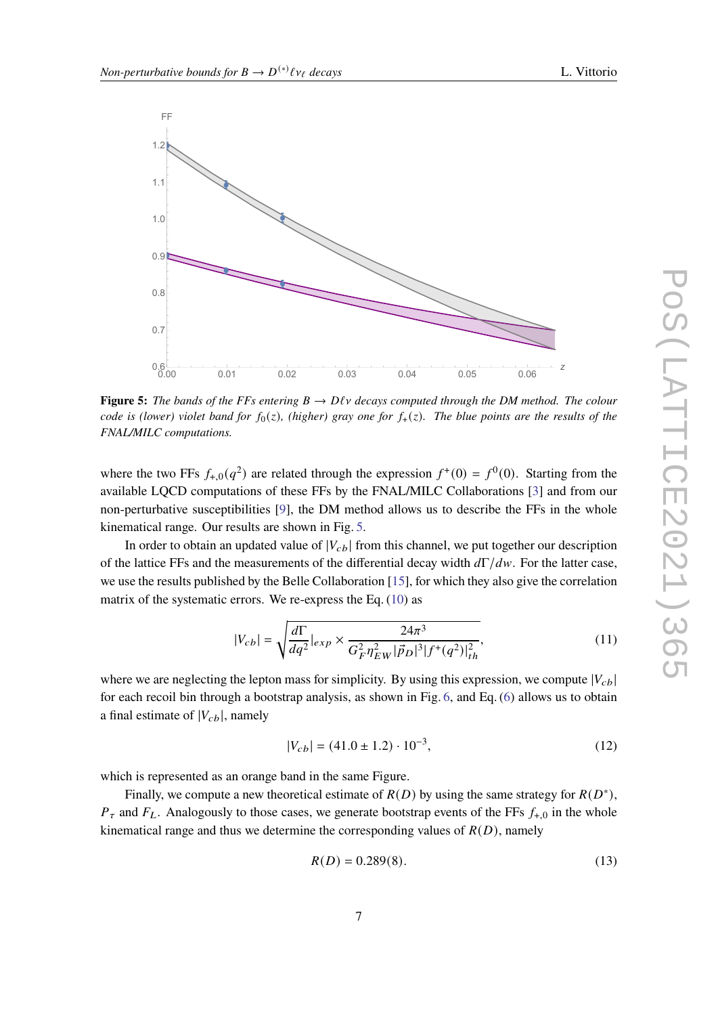<span id="page-6-0"></span>

**Figure 5:** The bands of the FFs entering  $B \to D\ell\nu$  decays computed through the DM method. The colour *code is (lower) violet band for*  $f_0(z)$ *, (higher) gray one for*  $f_+(z)$ *. The blue points are the results of the FNAL/MILC computations.*

where the two FFs  $f_{+,0}(q^2)$  are related through the expression  $f^+(0) = f^0(0)$ . Starting from the available LQCD computations of these FFs by the FNAL/MILC Collaborations [\[3\]](#page-7-2) and from our non-perturbative susceptibilities [\[9\]](#page-8-3), the DM method allows us to describe the FFs in the whole kinematical range. Our results are shown in Fig. [5.](#page-6-0)

In order to obtain an updated value of  $|V_{cb}|$  from this channel, we put together our description of the lattice FFs and the measurements of the differential decay width  $d\Gamma/dw$ . For the latter case, we use the results published by the Belle Collaboration [\[15\]](#page-8-9), for which they also give the correlation matrix of the systematic errors. We re-express the Eq. [\(10\)](#page-5-0) as

$$
|V_{cb}| = \sqrt{\frac{d\Gamma}{dq^2}|_{exp} \times \frac{24\pi^3}{G_F^2 \eta_{EW}^2 |\vec{p}_D|^3 |f^+(q^2)|_{th}^2}},
$$
\n(11)

where we are neglecting the lepton mass for simplicity. By using this expression, we compute  $|V_{cb}|$ for each recoil bin through a bootstrap analysis, as shown in Fig. [6,](#page-7-5) and Eq. [\(6\)](#page-3-1) allows us to obtain a final estimate of  $|V_{cb}|$ , namely

<span id="page-6-1"></span>
$$
|V_{cb}| = (41.0 \pm 1.2) \cdot 10^{-3},\tag{12}
$$

which is represented as an orange band in the same Figure.

Finally, we compute a new theoretical estimate of  $R(D)$  by using the same strategy for  $R(D^*)$ ,  $P_{\tau}$  and  $F_{L}$ . Analogously to those cases, we generate bootstrap events of the FFs  $f_{+,0}$  in the whole kinematical range and thus we determine the corresponding values of  $R(D)$ , namely

<span id="page-6-2"></span>
$$
R(D) = 0.289(8). \tag{13}
$$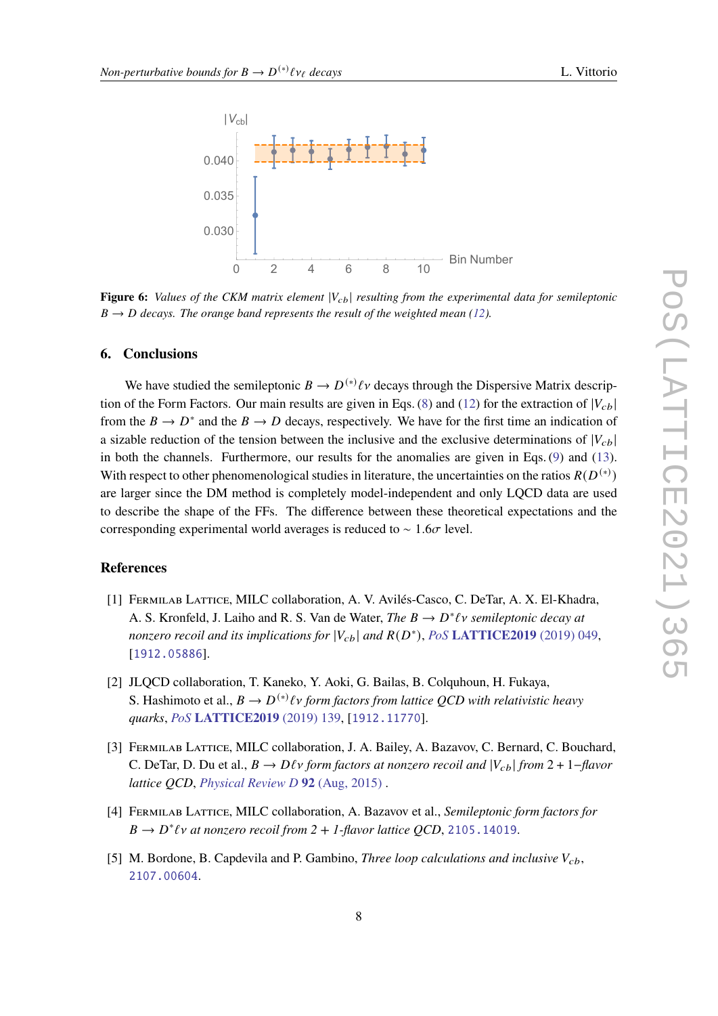<span id="page-7-5"></span>

**Figure 6:** *Values of the CKM matrix element*  $|V_{cb}|$  *resulting from the experimental data for semileptonic*  $B \rightarrow D$  decays. The orange band represents the result of the weighted mean [\(12\)](#page-6-1).

#### **6. Conclusions**

We have studied the semileptonic  $B \to D^{(*)}\ell\nu$  decays through the Dispersive Matrix descrip-tion of the Form Factors. Our main results are given in Eqs. [\(8\)](#page-5-1) and [\(12\)](#page-6-1) for the extraction of  $|V_{cb}|$ from the  $B \to D^*$  and the  $B \to D$  decays, respectively. We have for the first time an indication of a sizable reduction of the tension between the inclusive and the exclusive determinations of  $|V_{cb}|$ in both the channels. Furthermore, our results for the anomalies are given in Eqs. [\(9\)](#page-5-2) and [\(13\)](#page-6-2). With respect to other phenomenological studies in literature, the uncertainties on the ratios  $R(D^{(*)})$ are larger since the DM method is completely model-independent and only LQCD data are used to describe the shape of the FFs. The difference between these theoretical expectations and the corresponding experimental world averages is reduced to  $\sim 1.6\sigma$  level.

#### **References**

- <span id="page-7-0"></span>[1] Fermilab Lattice, MILC collaboration, A. V. Avilés-Casco, C. DeTar, A. X. El-Khadra, A. S. Kronfeld, J. Laiho and R. S. Van de Water, *The B*  $\rightarrow$  *D*<sup>\*</sup>*lv semileptonic decay at* nonzero recoil and its implications for  $|V_{cb}|$  and  $R(D^*)$ , PoS **[LATTICE2019](http://dx.doi.org/10.22323/1.363.0049)** (2019) 049, [[1912.05886](http://arxiv.org/abs/1912.05886)].
- <span id="page-7-1"></span>[2] JLQCD collaboration, T. Kaneko, Y. Aoki, G. Bailas, B. Colquhoun, H. Fukaya, S. Hashimoto et al.,  $B \to D^{(*)} \ell v$  form factors from lattice QCD with relativistic heavy *quarks*, *PoS* **[LATTICE2019](http://dx.doi.org/10.22323/1.363.0139)** (2019) 139, [[1912.11770](http://arxiv.org/abs/1912.11770)].
- <span id="page-7-2"></span>[3] FERMILAB LATTICE, MILC collaboration, J. A. Bailey, A. Bazavov, C. Bernard, C. Bouchard, C. DeTar, D. Du et al.,  $B \to D\ell\nu$  form factors at nonzero recoil and  $|V_{ch}|$  from 2 + 1-flavor *lattice QCD*, *[Physical Review D](http://dx.doi.org/10.1103/physrevd.92.034506)* **92** (Aug, 2015) .
- <span id="page-7-3"></span>[4] Fermilab Lattice, MILC collaboration, A. Bazavov et al., *Semileptonic form factors for*  $B \to D^* \ell \nu$  at nonzero recoil from  $2 + 1$ -flavor lattice QCD, [2105.14019](http://arxiv.org/abs/2105.14019).
- <span id="page-7-4"></span>[5] M. Bordone, B. Capdevila and P. Gambino, *Three loop calculations and inclusive*  $V_{cb}$ , [2107.00604](http://arxiv.org/abs/2107.00604).